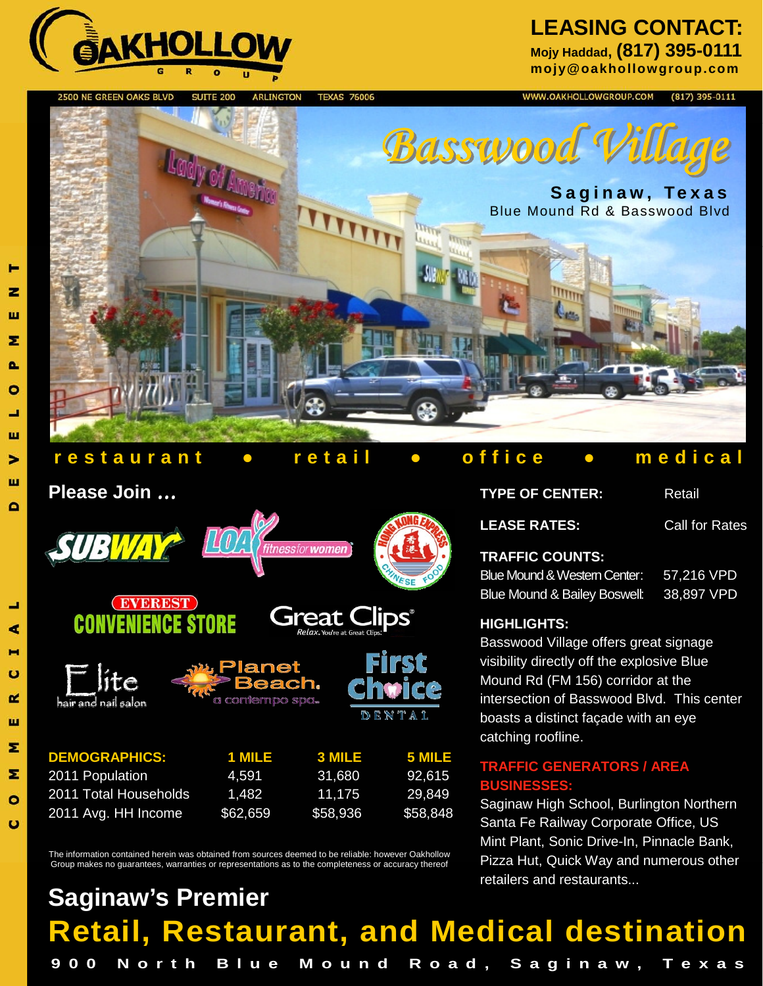

#### **LEASING CONTACT: Mojy Haddad, (817) 395-0111**

**mojy@oakhollowgroup.com** 

2500 NE GREEN OAKS BLVD **TEXAS 76006 SUITE 200 ARLINGTON** 



#### **restaurant ● retail ● office ● medical**

#### **Please Join** *...*







| <b>DEMOGRAPHICS:</b><br>2011 Population<br>2011 Total Households<br>2011 Avg. HH Income | 1 MILE<br>4.591<br>1.482 | <b>3 MILE</b><br>31.680<br>11.175 | 5 MILE<br>92.615<br>29.849 |          |          |          |
|-----------------------------------------------------------------------------------------|--------------------------|-----------------------------------|----------------------------|----------|----------|----------|
|                                                                                         |                          |                                   |                            | \$62,659 | \$58,936 | \$58,848 |

The information contained herein was obtained from sources deemed to be reliable: however Oakhollow Group makes no guarantees, warranties or representations as to the completeness or accuracy thereof

### **Retail, Restaurant, and Medical destination 900 North Blue Mound Road, Saginaw, Texas Saginaw's Premier**

DENTA

WWW.OAKHOLLOWGROUP.COM  $(817)$  395-0111

#### **TYPE OF CENTER:** Retail **LEASE RATES:** Call for Rates **TRAFFIC COUNTS:**  Blue Mound & Western Center: 57,216 VPD Blue Mound & Bailey Boswell: 38,897 VPD **HIGHLIGHTS:**  Basswood Village offers great signage visibility directly off the explosive Blue Mound Rd (FM 156) corridor at the

intersection of Basswood Blvd. This center boasts a distinct façade with an eye catching roofline.

#### **TRAFFIC GENERATORS / AREA BUSINES**

Saginaw High School, Burlington Northern Santa Fe Railway Corporate Office, US Mint Plant, Sonic Drive-In, Pinnacle Bank, Pizza Hut, Quick Way and numerous other retailers and restaurants...

#### ш Σ  $\mathbf{a}$  $\bullet$ ┙ ш > ш

z

đ

**P** 

ο  $\mathbf{r}$ 

Ш

Σ

Σ

 $\bullet$  $\mathbf C$ 

 $\mathbf{D}$